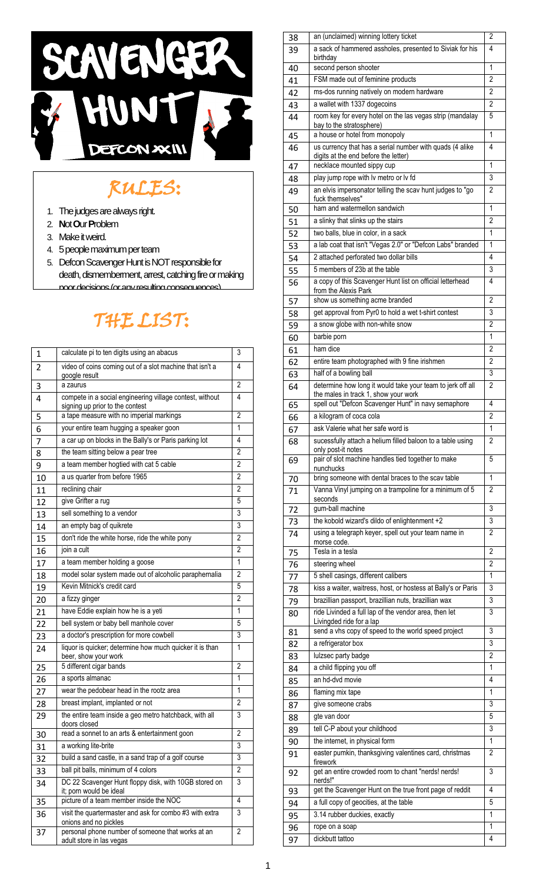

## RULES:

- 1. The judges are always right.
- 2. **N**ot **O**ur **P**roblem
- 3. Make it weird.

i,

- 4. 5 people maximum per team
- 5. Defcon Scavenger Hunt is NOT responsible for death, dismemberment, arrest, catching fire or making poor decisions (or any resulting consequences).

## THE LIST: j

| 1  | calculate pi to ten digits using an abacus                                                  | 3              |
|----|---------------------------------------------------------------------------------------------|----------------|
| 2  | video of coins coming out of a slot machine that isn't a<br>google result                   | 4              |
| 3  | a zaurus                                                                                    | $\overline{2}$ |
| 4  | compete in a social engineering village contest, without<br>signing up prior to the contest | 4              |
| 5  | a tape measure with no imperial markings                                                    | 2              |
| 6  | your entire team hugging a speaker goon                                                     | 1              |
| 7  | a car up on blocks in the Bally's or Paris parking lot                                      | 4              |
| 8  | the team sitting below a pear tree                                                          | 2              |
| 9  | a team member hogtied with cat 5 cable                                                      | 2              |
| 10 | a us quarter from before 1965                                                               | 2              |
| 11 | reclining chair                                                                             | 2              |
| 12 | give Grifter a rug                                                                          | 5              |
| 13 | sell something to a vendor                                                                  | 3              |
| 14 | an empty bag of quikrete                                                                    | 3              |
| 15 | don't ride the white horse, ride the white pony                                             | $\overline{2}$ |
| 16 | join a cult                                                                                 | 2              |
| 17 | a team member holding a goose                                                               | 1              |
| 18 | model solar system made out of alcoholic paraphernalia                                      | $\overline{2}$ |
| 19 | Kevin Mitnick's credit card                                                                 | 5              |
| 20 | a fizzy ginger                                                                              | $\overline{2}$ |
| 21 | have Eddie explain how he is a yeti                                                         | 1              |
| 22 | bell system or baby bell manhole cover                                                      | 5              |
| 23 | a doctor's prescription for more cowbell                                                    | 3              |
| 24 | liquor is quicker; determine how much quicker it is than<br>beer, show your work            | 1              |
| 25 | 5 different cigar bands                                                                     | 2              |
| 26 | a sports almanac                                                                            | 1              |
| 27 | wear the pedobear head in the rootz area                                                    | 1              |
| 28 | breast implant, implanted or not                                                            | $\overline{2}$ |
| 29 | the entire team inside a geo metro hatchback, with all<br>doors closed                      | 3              |
| 30 | read a sonnet to an arts & entertainment goon                                               | $\overline{2}$ |
| 31 | a working lite-brite                                                                        | 3              |
| 32 | build a sand castle, in a sand trap of a golf course                                        | 3              |
| 33 | ball pit balls, minimum of 4 colors                                                         | 2              |
| 34 | DC 22 Scavenger Hunt floppy disk, with 10GB stored on<br>it; porn would be ideal            | 3              |
| 35 | picture of a team member inside the NOC                                                     | 4              |
| 36 | visit the quartermaster and ask for combo #3 with extra<br>onions and no pickles            | 3              |
| 37 | personal phone number of someone that works at an<br>adult store in las vegas               | $\overline{2}$ |
|    |                                                                                             |                |

| 38 | an (unclaimed) winning lottery ticket                                                       | 2              |
|----|---------------------------------------------------------------------------------------------|----------------|
| 39 | a sack of hammered assholes, presented to Siviak for his<br>birthday                        | 4              |
| 40 | second person shooter                                                                       | 1              |
| 41 | FSM made out of feminine products                                                           | 2              |
| 42 | ms-dos running natively on modern hardware                                                  | 2              |
| 43 | a wallet with 1337 dogecoins                                                                | 2              |
| 44 | room key for every hotel on the las vegas strip (mandalay                                   | 5              |
|    | bay to the stratosphere)                                                                    |                |
| 45 | a house or hotel from monopoly                                                              | 1              |
| 46 | us currency that has a serial number with quads (4 alike                                    | 4              |
|    | digits at the end before the letter)                                                        |                |
| 47 | necklace mounted sippy cup                                                                  | 1              |
| 48 | play jump rope with lv metro or lv fd                                                       | 3              |
| 49 | an elvis impersonator telling the scav hunt judges to "go                                   | $\overline{2}$ |
| 50 | fuck themselves"<br>ham and watermellon sandwich                                            | 1              |
|    | a slinky that slinks up the stairs                                                          | $\overline{c}$ |
| 51 | two balls, blue in color, in a sack                                                         | 1              |
| 52 |                                                                                             | 1              |
| 53 | a lab coat that isn't "Vegas 2.0" or "Defcon Labs" branded                                  |                |
| 54 | 2 attached perforated two dollar bills                                                      | 4              |
| 55 | 5 members of 23b at the table                                                               | 3              |
| 56 | a copy of this Scavenger Hunt list on official letterhead                                   | 4              |
| 57 | from the Alexis Park<br>show us something acme branded                                      | $\overline{2}$ |
|    | get approval from Pyr0 to hold a wet t-shirt contest                                        | 3              |
| 58 | a snow globe with non-white snow                                                            | $\overline{2}$ |
| 59 |                                                                                             |                |
| 60 | barbie porn                                                                                 | 1              |
| 61 | ham dice                                                                                    | 2              |
| 62 | entire team photographed with 9 fine irishmen                                               | 2              |
| 63 | half of a bowling ball                                                                      | 3              |
| 64 | determine how long it would take your team to jerk off all                                  | $\overline{2}$ |
| 65 | the males in track 1, show your work<br>spell out "Defcon Scavenger Hunt" in navy semaphore | 4              |
|    | a kilogram of coca cola                                                                     | 2              |
| 66 | ask Valerie what her safe word is                                                           | 1              |
| 67 |                                                                                             |                |
| 68 | sucessfully attach a helium filled baloon to a table using<br>only post-it notes            | $\overline{2}$ |
| 69 | pair of slot machine handles tied together to make                                          | 5              |
|    | nunchucks                                                                                   |                |
| 70 | bring someone with dental braces to the scav table                                          | 1              |
| 71 | Vanna Vinyl jumping on a trampoline for a minimum of 5                                      | 2              |
| 72 | seconds<br>gum-ball machine                                                                 | 3              |
|    | the kobold wizard's dildo of enlightenment +2                                               | 3              |
| 73 | using a telegraph keyer, spell out your team name in                                        | $\overline{2}$ |
| 74 | morse code.                                                                                 |                |
| 75 | Tesla in a tesla                                                                            | $\overline{2}$ |
| 76 | steering wheel                                                                              | $\overline{c}$ |
| 77 | 5 shell casings, different calibers                                                         | 1              |
| 78 | kiss a waiter, waitress, host, or hostess at Bally's or Paris                               | 3              |
| 79 | brazillian passport, brazillian nuts, brazillian wax                                        | 3              |
|    | ride Livinded a full lap of the vendor area, then let                                       | 3              |
| 80 | Livingded ride for a lap                                                                    |                |
| 81 | send a vhs copy of speed to the world speed project                                         | 3              |
| 82 | a refrigerator box                                                                          | 3              |
| 83 | lulzsec party badge                                                                         | 2              |
| 84 | a child flipping you off                                                                    | 1              |
| 85 | an hd-dvd movie                                                                             | 4              |
| 86 | flaming mix tape                                                                            | 1              |
| 87 | give someone crabs                                                                          | 3              |
| 88 | gte van door                                                                                | 5              |
|    | tell C-P about your childhood                                                               | 3              |
| 89 |                                                                                             | 1              |
| 90 | the internet, in physical form                                                              |                |
| 91 | easter pumkin, thanksgiving valentines card, christmas<br>firework                          | $\overline{2}$ |
| 92 | get an entire crowded room to chant "nerds! nerds!                                          | 3              |
|    | nerds!"                                                                                     |                |
| 93 | get the Scavenger Hunt on the true front page of reddit                                     | 4              |
| 94 | a full copy of geocities, at the table                                                      | 5              |
| 95 | 3.14 rubber duckies, exactly                                                                | 1              |
| 96 | rope on a soap                                                                              | 1              |
| 97 | dickbutt tattoo                                                                             | $\overline{4}$ |
|    |                                                                                             |                |